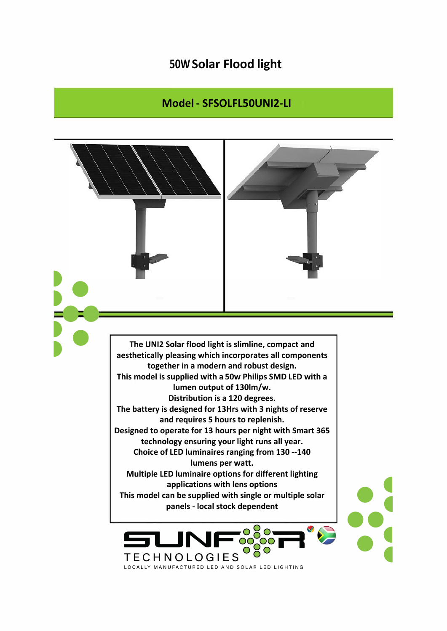## **50W Solar Flood light**

## **Model - SFSOLFL50UNI2-LI**

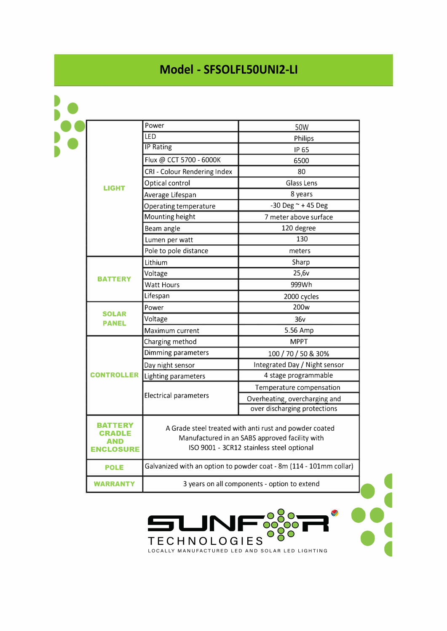## **Model - SFSOLFL50UNI2-LI**

| <b>LIGHT</b>                    | Power                                                                                                                                                 | 50W                           |
|---------------------------------|-------------------------------------------------------------------------------------------------------------------------------------------------------|-------------------------------|
|                                 | <b>LED</b>                                                                                                                                            | Philips                       |
|                                 | <b>IP Rating</b>                                                                                                                                      | IP 65                         |
|                                 | Flux @ CCT 5700 - 6000K                                                                                                                               | 6500                          |
|                                 | CRI - Colour Rendering Index                                                                                                                          | 80                            |
|                                 | Optical control                                                                                                                                       | Glass Lens                    |
|                                 | Average Lifespan                                                                                                                                      | 8 years                       |
|                                 | Operating temperature                                                                                                                                 | $-30$ Deg $\sim$ +45 Deg      |
|                                 | Mounting height                                                                                                                                       | 7 meter above surface         |
|                                 | Beam angle                                                                                                                                            | 120 degree                    |
|                                 | Lumen per watt                                                                                                                                        | 130                           |
|                                 | Pole to pole distance                                                                                                                                 | meters                        |
| <b>BATTERY</b>                  | Lithium                                                                                                                                               | Sharp                         |
|                                 | Voltage                                                                                                                                               | 25,6v                         |
|                                 | <b>Watt Hours</b>                                                                                                                                     | 999Wh                         |
|                                 | Lifespan                                                                                                                                              | 2000 cycles                   |
| <b>SOLAR</b><br><b>PANEL</b>    | Power                                                                                                                                                 | 200 <sub>w</sub>              |
|                                 | Voltage                                                                                                                                               | 36v                           |
|                                 | Maximum current                                                                                                                                       | 5.56 Amp                      |
| <b>CONTROLLER</b>               | Charging method                                                                                                                                       | <b>MPPT</b>                   |
|                                 | Dimming parameters                                                                                                                                    | 100 / 70 / 50 & 30%           |
|                                 | Day night sensor                                                                                                                                      | Integrated Day / Night sensor |
|                                 | Lighting parameters                                                                                                                                   | 4 stage programmable          |
|                                 | Electrical parameters                                                                                                                                 | Temperature compensation      |
|                                 |                                                                                                                                                       | Overheating, overcharging and |
|                                 |                                                                                                                                                       | over discharging protections  |
| TFRY<br>AND<br><b>ENCLOSURE</b> | A Grade steel treated with anti rust and powder coated<br>Manufactured in an SABS approved facility with<br>ISO 9001 - 3CR12 stainless steel optional |                               |
| <b>POLE</b>                     | Galvanized with an option to powder coat - 8m (114 - 101mm collar)                                                                                    |                               |
| <b>WARRANTY</b>                 | 3 years on all components - option to extend                                                                                                          |                               |

••• •• **t** 

TECHNOLOGIES OCO - -

LJN

y